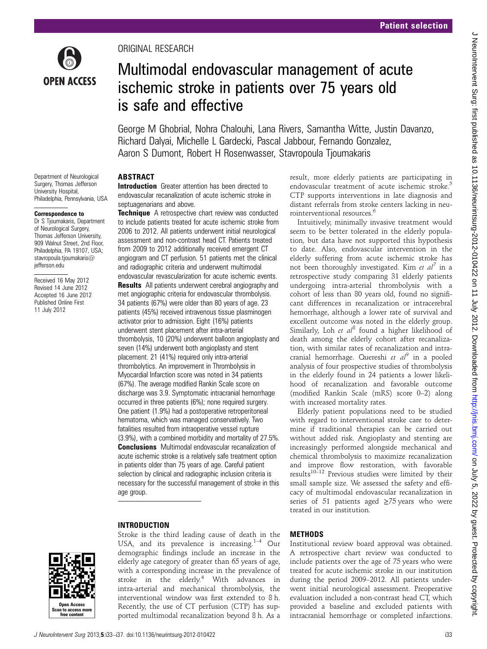

Department of Neurological Surgery, Thomas Jefferson University Hospital, Philadelphia, Pennsylvania, USA

Correspondence to Dr S Tjoumakaris, Department of Neurological Surgery, Thomas Jefferson University, 909 Walnut Street, 2nd Floor, Philadelphia, PA 19107, USA; stavropoula.tjoumakaris@

jefferson.edu

Received 16 May 2012 Revised 14 June 2012 Accepted 16 June 2012 Published Online First 11 July 2012

ORIGINAL RESEARCH

# Multimodal endovascular management of acute ischemic stroke in patients over 75 years old is safe and effective

George M Ghobrial, Nohra Chalouhi, Lana Rivers, Samantha Witte, Justin Davanzo, Richard Dalyai, Michelle L Gardecki, Pascal Jabbour, Fernando Gonzalez, Aaron S Dumont, Robert H Rosenwasser, Stavropoula Tjoumakaris

## ABSTRACT

Introduction Greater attention has been directed to endovascular recanalization of acute ischemic stroke in septuagenarians and above.

**Technique** A retrospective chart review was conducted to include patients treated for acute ischemic stroke from 2006 to 2012. All patients underwent initial neurological assessment and non-contrast head CT. Patients treated from 2009 to 2012 additionally received emergent CT angiogram and CT perfusion. 51 patients met the clinical and radiographic criteria and underwent multimodal endovascular revascularization for acute ischemic events. **Results** All patients underwent cerebral angiography and met angiographic criteria for endovascular thrombolysis. 34 patients (67%) were older than 80 years of age. 23 patients (45%) received intravenous tissue plasminogen activator prior to admission. Eight (16%) patients underwent stent placement after intra-arterial thrombolysis, 10 (20%) underwent balloon angioplasty and seven (14%) underwent both angioplasty and stent placement. 21 (41%) required only intra-arterial thrombolytics. An improvement in Thrombolysis in Myocardial Infarction score was noted in 34 patients (67%). The average modified Rankin Scale score on discharge was 3.9. Symptomatic intracranial hemorrhage occurred in three patients (6%); none required surgery. One patient (1.9%) had a postoperative retroperitoneal hematoma, which was managed conservatively. Two fatalities resulted from intraoperative vessel rupture (3.9%), with a combined morbidity and mortality of 27.5%. Conclusions Multimodal endovascular recanalization of acute ischemic stroke is a relatively safe treatment option in patients older than 75 years of age. Careful patient selection by clinical and radiographic inclusion criteria is necessary for the successful management of stroke in this age group.

## INTRODUCTION



Stroke is the third leading cause of death in the USA, and its prevalence is increasing. $1-4$  Our demographic findings include an increase in the elderly age category of greater than 65 years of age, with a corresponding increase in the prevalence of stroke in the elderly.<sup>4</sup> With advances in intra-arterial and mechanical thrombolysis, the interventional window was first extended to 8 h. Recently, the use of CT perfusion (CTP) has supported multimodal recanalization beyond 8 h. As a

result, more elderly patients are participating in endovascular treatment of acute ischemic stroke.<sup>5</sup> CTP supports interventions in late diagnosis and distant referrals from stroke centers lacking in neurointerventional resources.6

Intuitively, minimally invasive treatment would seem to be better tolerated in the elderly population, but data have not supported this hypothesis to date. Also, endovascular intervention in the elderly suffering from acute ischemic stroke has not been thoroughly investigated. Kim et  $al^7$  in a retrospective study comparing 31 elderly patients undergoing intra-arterial thrombolysis with a cohort of less than 80 years old, found no significant differences in recanalization or intracerebral hemorrhage, although a lower rate of survival and excellent outcome was noted in the elderly group. Similarly, Loh et  $al^8$  found a higher likelihood of death among the elderly cohort after recanalization, with similar rates of recanalization and intracranial hemorrhage. Quereshi et  $a^{0}$  in a pooled analysis of four prospective studies of thrombolysis in the elderly found in 24 patients a lower likelihood of recanalization and favorable outcome (modified Rankin Scale (mRS) score 0–2) along with increased mortality rates.

Elderly patient populations need to be studied with regard to interventional stroke care to determine if traditional therapies can be carried out without added risk. Angioplasty and stenting are increasingly performed alongside mechanical and chemical thrombolysis to maximize recanalization and improve flow restoration, with favorable  $r$ esults<sup>10–12</sup> Previous studies were limited by their small sample size. We assessed the safety and efficacy of multimodal endovascular recanalization in series of 51 patients aged ≥75 years who were treated in our institution.

## METHODS

Institutional review board approval was obtained. A retrospective chart review was conducted to include patients over the age of 75 years who were treated for acute ischemic stroke in our institution during the period 2009–2012. All patients underwent initial neurological assessment. Preoperative evaluation included a non-contrast head CT, which provided a baseline and excluded patients with intracranial hemorrhage or completed infarctions.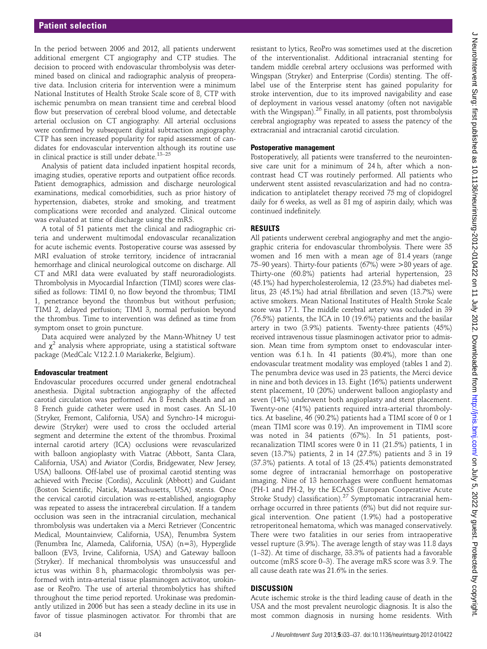In the period between 2006 and 2012, all patients underwent additional emergent CT angiography and CTP studies. The decision to proceed with endovascular thrombolysis was determined based on clinical and radiographic analysis of preoperative data. Inclusion criteria for intervention were a minimum National Institutes of Health Stroke Scale score of 8, CTP with ischemic penumbra on mean transient time and cerebral blood flow but preservation of cerebral blood volume, and detectable arterial occlusion on CT angiography. All arterial occlusions were confirmed by subsequent digital subtraction angiography. CTP has seen increased popularity for rapid assessment of candidates for endovascular intervention although its routine use in clinical practice is still under debate.<sup>13-25</sup>

Analysis of patient data included inpatient hospital records, imaging studies, operative reports and outpatient office records. Patient demographics, admission and discharge neurological examinations, medical comorbidities, such as prior history of hypertension, diabetes, stroke and smoking, and treatment complications were recorded and analyzed. Clinical outcome was evaluated at time of discharge using the mRS.

A total of 51 patients met the clinical and radiographic criteria and underwent multimodal endovascular recanalization for acute ischemic events. Postoperative course was assessed by MRI evaluation of stroke territory, incidence of intracranial hemorrhage and clinical neurological outcome on discharge. All CT and MRI data were evaluated by staff neuroradiologists. Thrombolysis in Myocardial Infarction (TIMI) scores were classified as follows: TIMI 0, no flow beyond the thrombus; TIMI 1, penetrance beyond the thrombus but without perfusion; TIMI 2, delayed perfusion; TIMI 3, normal perfusion beyond the thrombus. Time to intervention was defined as time from symptom onset to groin puncture.

Data acquired were analyzed by the Mann-Whitney U test and  $\chi^2$  analysis where appropriate, using a statistical software package (MedCalc V.12.2.1.0 Mariakerke, Belgium).

#### Endovascular treatment

Endovascular procedures occurred under general endotracheal anesthesia. Digital subtraction angiography of the affected carotid circulation was performed. An 8 French sheath and an 8 French guide catheter were used in most cases. An SL-10 (Stryker, Fremont, California, USA) and Synchro-14 microguidewire (Stryker) were used to cross the occluded arterial segment and determine the extent of the thrombus. Proximal internal carotid artery (ICA) occlusions were revascularized with balloon angioplasty with Viatrac (Abbott, Santa Clara, California, USA) and Aviator (Cordis, Bridgewater, New Jersey, USA) balloons. Off-label use of proximal carotid stenting was achieved with Precise (Cordis), Acculink (Abbott) and Guidant (Boston Scientific, Natick, Massachusetts, USA) stents. Once the cervical carotid circulation was re-established, angiography was repeated to assess the intracerebral circulation. If a tandem occlusion was seen in the intracranial circulation, mechanical thrombolysis was undertaken via a Merci Retriever (Concentric Medical, Mountainview, California, USA), Penumbra System (Penumbra Inc, Alameda, California, USA) (n=3), Hyperglide balloon (EV3, Irvine, California, USA) and Gateway balloon (Stryker). If mechanical thrombolysis was unsuccessful and ictus was within 8 h, pharmacologic thrombolysis was performed with intra-arterial tissue plasminogen activator, urokinase or ReoPro. The use of arterial thrombolytics has shifted throughout the time period reported. Urokinase was predominantly utilized in 2006 but has seen a steady decline in its use in favor of tissue plasminogen activator. For thrombi that are

resistant to lytics, ReoPro was sometimes used at the discretion of the interventionalist. Additional intracranial stenting for tandem middle cerebral artery occlusions was performed with Wingspan (Stryker) and Enterprise (Cordis) stenting. The offlabel use of the Enterprise stent has gained popularity for stroke intervention, due to its improved navigability and ease of deployment in various vessel anatomy (often not navigable with the Wingspan).<sup>26</sup> Finally, in all patients, post thrombolysis cerebral angiography was repeated to assess the patency of the extracranial and intracranial carotid circulation.

#### Postoperative management

Postoperatively, all patients were transferred to the neurointensive care unit for a minimum of 24 h, after which a noncontrast head CT was routinely performed. All patients who underwent stent assisted revascularization and had no contraindication to antiplatelet therapy received 75 mg of clopidogrel daily for 6 weeks, as well as 81 mg of aspirin daily, which was continued indefinitely.

## RESULTS

All patients underwent cerebral angiography and met the angiographic criteria for endovascular thrombolysis. There were 35 women and 16 men with a mean age of 81.4 years (range 75–90 years). Thirty-four patients (67%) were >80 years of age. Thirty-one (60.8%) patients had arterial hypertension, 23 (45.1%) had hypercholesterolemia, 12 (23.5%) had diabetes mellitus, 23 (45.1%) had atrial fibrillation and seven (13.7%) were active smokers. Mean National Institutes of Health Stroke Scale score was 17.1. The middle cerebral artery was occluded in 39 (76.5%) patients, the ICA in 10 (19.6%) patients and the basilar artery in two (3.9%) patients. Twenty-three patients (45%) received intravenous tissue plasminogen activator prior to admission. Mean time from symptom onset to endovascular intervention was 6.1 h. In 41 patients (80.4%), more than one endovascular treatment modality was employed (tables 1 and 2). The penumbra device was used in 23 patients, the Merci device in nine and both devices in 13. Eight (16%) patients underwent stent placement, 10 (20%) underwent balloon angioplasty and seven (14%) underwent both angioplasty and stent placement. Twenty-one (41%) patients required intra-arterial thrombolytics. At baseline, 46 (90.2%) patients had a TIMI score of 0 or 1 (mean TIMI score was 0.19). An improvement in TIMI score was noted in 34 patients (67%). In 51 patients, postrecanalization TIMI scores were 0 in 11 (21.5%) patients, 1 in seven (13.7%) patients, 2 in 14 (27.5%) patients and 3 in 19 (37.3%) patients. A total of 13 (25.4%) patients demonstrated some degree of intracranial hemorrhage on postoperative imaging. Nine of 13 hemorrhages were confluent hematomas (PH-1 and PH-2, by the ECASS (European Cooperative Acute Stroke Study) classification).<sup>27</sup> Symptomatic intracranial hemorrhage occurred in three patients (6%) but did not require surgical intervention. One patient (1.9%) had a postoperative retroperitoneal hematoma, which was managed conservatively. There were two fatalities in our series from intraoperative vessel rupture (3.9%). The average length of stay was 11.8 days (1–32). At time of discharge, 33.3% of patients had a favorable outcome (mRS score 0–3). The average mRS score was 3.9. The all cause death rate was 21.6% in the series.

## **DISCUSSION**

Acute ischemic stroke is the third leading cause of death in the USA and the most prevalent neurologic diagnosis. It is also the most common diagnosis in nursing home residents. With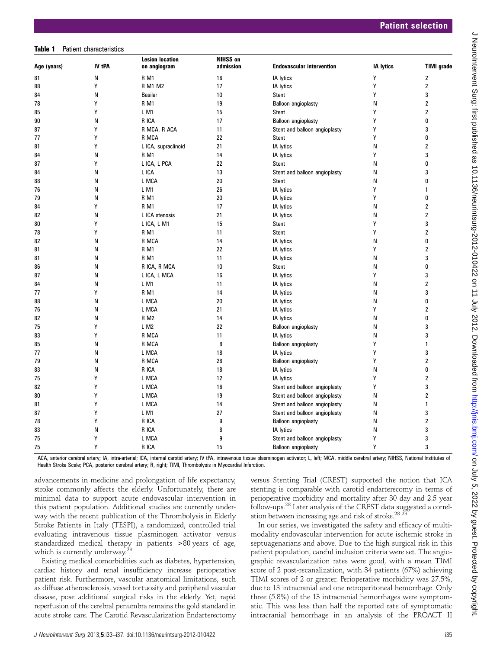#### Table 1 Patient characteristics

| Age (years) | IV tPA | <b>Lesion location</b><br>on angiogram | <b>NIHSS on</b><br>admission | <b>Endovascular intervention</b> | <b>IA lytics</b> | <b>TIMI</b> grade       |
|-------------|--------|----------------------------------------|------------------------------|----------------------------------|------------------|-------------------------|
| 81          | Ν      | R <sub>M1</sub>                        | 16                           | IA lytics                        | Υ                | $\overline{\mathbf{2}}$ |
| 88          | Υ      | <b>R M1 M2</b>                         | 17                           | IA lytics                        | Υ                | $\overline{\mathbf{c}}$ |
| 84          | Ν      | <b>Basilar</b>                         | 10                           | Stent                            | Y                | 3                       |
| 78          | Υ      | R M1                                   | 19                           | <b>Balloon angioplasty</b>       | Ν                | $\overline{\mathbf{c}}$ |
| 85          | Y      | LM1                                    | 15                           | Stent                            | Y                | $\boldsymbol{2}$        |
| 90          | Ν      | R ICA                                  | 17                           | Balloon angioplasty              | Y                | 0                       |
| 87          | Υ      | R MCA, R ACA                           | 11                           | Stent and balloon angioplasty    | Υ                | 3                       |
| 77          | Υ      | R MCA                                  | 22                           | Stent                            | Y                | 0                       |
| 81          | Y      | L ICA, supraclinoid                    | 21                           | IA lytics                        | Ν                | $\overline{\mathbf{c}}$ |
| 84          | Ν      | <b>RM1</b>                             | 14                           | IA lytics                        | Υ                | 3                       |
| 87          | Υ      | L ICA, L PCA                           | 22                           | <b>Stent</b>                     | Ν                | 0                       |
| 84          | Ν      | L ICA                                  | 13                           | Stent and balloon angioplasty    | Ν                | 3                       |
| 88          | N      | L MCA                                  | 20                           | <b>Stent</b>                     | Ν                | 0                       |
| 76          | Ν      | LM1                                    | 26                           | IA lytics                        | Y                | $\mathbf{1}$            |
| 79          | N      | <b>RM1</b>                             | 20                           | IA lytics                        | Υ                | 0                       |
| 84          | Υ      | <b>R</b> M <sub>1</sub>                | 17                           | IA lytics                        | Ν                | $\overline{\mathbf{c}}$ |
| 82          | N      | L ICA stenosis                         | 21                           | IA lytics                        | N                | $\overline{\mathbf{c}}$ |
| 80          | Y      | L ICA, L M1                            | 15                           | Stent                            | Y                | 3                       |
| 78          | Υ      | <b>R</b> M <sub>1</sub>                | 11                           | <b>Stent</b>                     | Υ                | $\overline{2}$          |
| 82          | Ν      | R MCA                                  | 14                           | IA lytics                        | Ν                | 0                       |
| 81          | Ν      | <b>R</b> M1                            | 22                           | IA lytics                        | Y                | $\overline{\mathbf{c}}$ |
| 81          | N      | <b>RM1</b>                             | 11                           | IA lytics                        | Ν                | 3                       |
| 86          | Ν      | R ICA, R MCA                           | 10                           | Stent                            | Ν                | 0                       |
| 87          | Ν      | L ICA, L MCA                           | 16                           | IA lytics                        | Y                | 3                       |
| 84          | Ν      | LM1                                    | 11                           | IA lytics                        | Ν                | $\overline{\mathbf{c}}$ |
| 77          | Y      | R M1                                   | 14                           | IA lytics                        | Ν                | 3                       |
| 88          | Ν      | L MCA                                  | 20                           | IA lytics                        | N                | 0                       |
| 76          | Ν      | L MCA                                  | 21                           | IA lytics                        | Y                | $\overline{\mathbf{c}}$ |
| 82          | N      | <b>R M2</b>                            | 14                           | IA lytics                        | Ν                | 0                       |
| 75          | Υ      | LM <sub>2</sub>                        | 22                           | Balloon angioplasty              | Ν                | 3                       |
| 83          | Y      | R MCA                                  | 11                           | <b>IA</b> lytics                 | N                | 3                       |
| 85          | Ν      | R MCA                                  | 8                            | Balloon angioplasty              | Υ                | 1                       |
| 77          | Ν      | L MCA                                  | 18                           | IA lytics                        | Υ                | 3                       |
| 79          | Ν      | R MCA                                  | 28                           | Balloon angioplasty              | Y                | $\overline{\mathbf{c}}$ |
| 83          | Ν      | R ICA                                  | 18                           | IA lytics                        | N                | $\mathbf{0}$            |
| 75          | Y      | L MCA                                  | 12                           | IA lytics                        | Y                | $\overline{\mathbf{c}}$ |
| 82          | Υ      | L MCA                                  | 16                           | Stent and balloon angioplasty    | Υ                | 3                       |
| 80          | Υ      | L MCA                                  | 19                           | Stent and balloon angioplasty    | Ν                | $\overline{\mathbf{c}}$ |
| 81          | Y      | L MCA                                  | 14                           | Stent and balloon angioplasty    | Ν                | $\mathbf{1}$            |
| 87          | Υ      | LM1                                    | 27                           | Stent and balloon angioplasty    | Ν                | 3                       |
| 78          | Υ      | R ICA                                  | 9                            | <b>Balloon angioplasty</b>       | Ν                | $\overline{\mathbf{c}}$ |
| 83          | Ν      | R ICA                                  | 8                            | IA lytics                        | Ν                | 3                       |
| 75          | Υ      | L MCA                                  | 9                            | Stent and balloon angioplasty    | Y                | 3                       |
| 75          | Y      | R ICA                                  | 15                           | Balloon angioplasty              | Y                | 3                       |
|             |        |                                        |                              |                                  |                  |                         |

ACA, anterior cerebral artery; IA, intra-arterial; ICA, internal carotid artery; IV tPA, intravenous tissue plasminogen activator; L, left; MCA, middle cerebral artery; NIHSS, National Institutes of Health Stroke Scale; PCA, posterior cerebral artery; R, right; TIMI, Thrombolysis in Myocardial Infarction.

advancements in medicine and prolongation of life expectancy, stroke commonly affects the elderly. Unfortunately, there are minimal data to support acute endovascular intervention in this patient population. Additional studies are currently underway with the recent publication of the Thrombolysis in Elderly Stroke Patients in Italy (TESPI), a randomized, controlled trial evaluating intravenous tissue plasminogen activator versus standardized medical therapy in patients >80 years of age, which is currently underway.<sup>28</sup>

Existing medical comorbidities such as diabetes, hypertension, cardiac history and renal insufficiency increase perioperative patient risk. Furthermore, vascular anatomical limitations, such as diffuse atherosclerosis, vessel tortuosity and peripheral vascular disease, pose additional surgical risks in the elderly. Yet, rapid reperfusion of the cerebral penumbra remains the gold standard in acute stroke care. The Carotid Revascularization Endarterectomy versus Stenting Trial (CREST) supported the notion that ICA stenting is comparable with carotid endarterecomy in terms of perioperative morbidity and mortality after 30 day and 2.5 year follow-ups.28 Later analysis of the CREST data suggested a correlation between increasing age and risk of stroke.<sup>28 2</sup>

In our series, we investigated the safety and efficacy of multimodality endovascular intervention for acute ischemic stroke in septuagenarians and above. Due to the high surgical risk in this patient population, careful inclusion criteria were set. The angiographic revascularization rates were good, with a mean TIMI score of 2 post-recanalization, with 34 patients (67%) achieving TIMI scores of 2 or greater. Perioperative morbidity was 27.5%, due to 13 intracranial and one retroperitoneal hemorrhage. Only three (5.8%) of the 13 intracranial hemorrhages were symptomatic. This was less than half the reported rate of symptomatic intracranial hemorrhage in an analysis of the PROACT II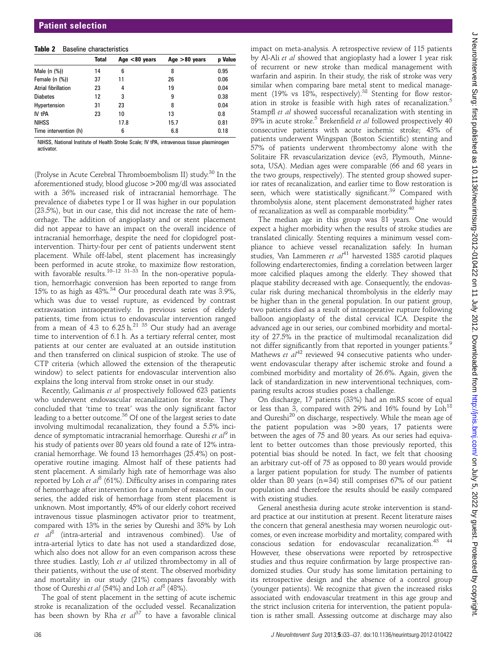#### Table 2 Baseline characteristics

|                       | <b>Total</b> | Age $< 80$ years | Age $>80$ years | <b>p</b> Value |
|-----------------------|--------------|------------------|-----------------|----------------|
| Male $(n \ (\%)$      | 14           | 6                | 8               | 0.95           |
| Female $(n$ $(\%)$    | 37           | 11               | 26              | 0.06           |
| Atrial fibrillation   | 23           | 4                | 19              | 0.04           |
| <b>Diabetes</b>       | 12           | 3                | 9               | 0.38           |
| Hypertension          | 31           | 23               | 8               | 0.04           |
| <b>IV tPA</b>         | 23           | 10               | 13              | 0.8            |
| <b>NIHSS</b>          |              | 17.8             | 15.7            | 0.81           |
| Time intervention (h) |              | 6                | 6.8             | 0.18           |

NIHSS, National Institute of Health Stroke Scale; IV tPA, intravenous tissue plasminogen activator.

(Prolyse in Acute Cerebral Thromboembolism II) study.<sup>30</sup> In the aforementioned study, blood glucose >200 mg/dl was associated with a 36% increased risk of intracranial hemorrhage. The prevalence of diabetes type I or II was higher in our population (23.5%), but in our case, this did not increase the rate of hemorrhage. The addition of angioplasty and or stent placement did not appear to have an impact on the overall incidence of intracranial hemorrhage, despite the need for clopidogrel postintervention. Thirty-four per cent of patients underwent stent placement. While off-label, stent placement has increasingly been performed in acute stroke, to maximize flow restoration, with favorable results.<sup>10–12 31–33</sup> In the non-operative population, hemorrhagic conversion has been reported to range from 15% to as high as  $43\%$ .<sup>34</sup> Our procedural death rate was  $3.9\%$ . which was due to vessel rupture, as evidenced by contrast extravasation intraoperatively. In previous series of elderly patients, time from ictus to endovascular intervention ranged from a mean of 4.3 to  $6.25 h^{21}$  35 Our study had an average time to intervention of 6.1 h. As a tertiary referral center, most patients at our center are evaluated at an outside institution and then transferred on clinical suspicion of stroke. The use of CTP criteria (which allowed the extension of the therapeutic window) to select patients for endovascular intervention also explains the long interval from stroke onset in our study.

Recently, Galimanis et al prospectively followed 623 patients who underwent endovascular recanalization for stroke. They concluded that 'time to treat' was the only significant factor leading to a better outcome.<sup>36</sup> Of one of the largest series to date involving multimodal recanalization, they found a 5.5% incidence of symptomatic intracranial hemorrhage. Qureshi et  $al^9$  in his study of patients over 80 years old found a rate of 12% intracranial hemorrhage. We found 13 hemorrhages (25.4%) on postoperative routine imaging. Almost half of these patients had stent placement. A similarly high rate of hemorrhage was also reported by Loh et  $al^8$  (61%). Difficulty arises in comparing rates of hemorrhage after intervention for a number of reasons. In our series, the added risk of hemorrhage from stent placement is unknown. Most importantly, 45% of our elderly cohort received intravenous tissue plasminogen activator prior to treatment, compared with 13% in the series by Qureshi and 35% by Loh et  $al^8$  (intra-arterial and intravenous combined). Use of intra-arterial lytics to date has not used a standardized dose, which also does not allow for an even comparison across these three studies. Lastly, Loh et al utilized thrombectomy in all of their patients, without the use of stent. The observed morbidity and mortality in our study (21%) compares favorably with those of Qureshi et al (54%) and Loh et  $al^8$  (48%).

The goal of stent placement in the setting of acute ischemic stroke is recanalization of the occluded vessel. Recanalization has been shown by Rha et  $al^{37}$  to have a favorable clinical

impact on meta-analysis. A retrospective review of 115 patients by Al-Ali et al showed that angioplasty had a lower 1 year risk of recurrent or new stroke than medical management with warfarin and aspirin. In their study, the risk of stroke was very similar when comparing bare metal stent to medical management (19% vs 18%, respectively).<sup>38</sup> Stenting for flow restoration in stroke is feasible with high rates of recanalization.<sup>5</sup> Stampfl et al showed successful recanalization with stenting in 89% in acute stroke.<sup>5</sup> Brekenfield *et al* followed prospectively 40 consecutive patients with acute ischemic stroke; 43% of patients underwent Wingspan (Boston Scientific) stenting and 57% of patients underwent thrombectomy alone with the Solitaire FR revascularization device (ev3, Plymouth, Minnesota, USA). Median ages were comparable (66 and 68 years in the two groups, respectively). The stented group showed superior rates of recanalization, and earlier time to flow restoration is seen, which were statistically significant.<sup>39</sup> Compared with thrombolysis alone, stent placement demonstrated higher rates of recanalization as well as comparable morbidity.<sup>40</sup>

The median age in this group was 81 years. One would expect a higher morbidity when the results of stroke studies are translated clinically. Stenting requires a minimum vessel compliance to achieve vessel recanalization safely. In human studies, Van Lammeren et  $al^{41}$  harvested 1385 carotid plaques following endarterectomies, finding a correlation between larger more calcified plaques among the elderly. They showed that plaque stability decreased with age. Consequently, the endovascular risk during mechanical thrombolysis in the elderly may be higher than in the general population. In our patient group, two patients died as a result of intraoperative rupture following balloon angioplasty of the distal cervical ICA. Despite the advanced age in our series, our combined morbidity and mortality of 27.5% in the practice of multimodal recanalization did not differ significantly from that reported in younger patients.<sup>9</sup> Mathews et  $al^{42}$  reviewed 94 consecutive patients who underwent endovascular therapy after ischemic stroke and found a combined morbidity and mortality of 26.6%. Again, given the lack of standardization in new interventional techniques, comparing results across studies poses a challenge.

On discharge, 17 patients (33%) had an mRS score of equal or less than 3, compared with 29% and 16% found by Loh<sup>18</sup> and Qureshi<sup>20</sup> on discharge, respectively. While the mean age of the patient population was >80 years, 17 patients were between the ages of 75 and 80 years. As our series had equivalent to better outcomes than those previously reported, this potential bias should be noted. In fact, we felt that choosing an arbitrary cut-off of 75 as opposed to 80 years would provide a larger patient population for study. The number of patients older than 80 years (n=34) still comprises 67% of our patient population and therefore the results should be easily compared with existing studies.

General anesthesia during acute stroke intervention is standard practice at our institution at present. Recent literature raises the concern that general anesthesia may worsen neurologic outcomes, or even increase morbidity and mortality, compared with conscious sedation for endovascular recanalization.<sup>43</sup> However, these observations were reported by retrospective studies and thus require confirmation by large prospective randomized studies. Our study has some limitation pertaining to its retrospective design and the absence of a control group (younger patients). We recognize that given the increased risks associated with endovascular treatment in this age group and the strict inclusion criteria for intervention, the patient population is rather small. Assessing outcome at discharge may also